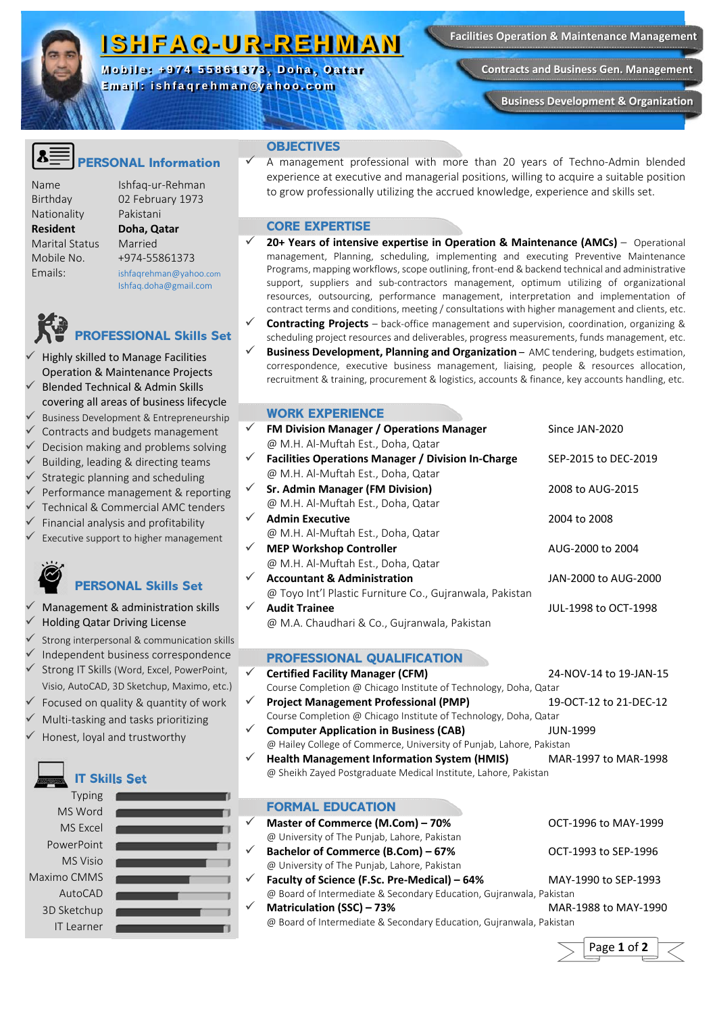## ISHFAQ-UR-REHMAN

Mobile: +974 55861373, Doha, Qatar Email: ishfaqrehman@yahoo.com

**Contracts and Business Gen. Management** 

**Business Development & Organization** 

### **ERSONAL Information**

Nationality Pakistani **Resident Doha, Qatar**  Marital Status Married

Name Ishfaq‐ur‐Rehman Birthday 02 February 1973 Mobile No. +974‐55861373 Emails: ishfaqrehman@yahoo.com Ishfaq.doha@gmail.com

# **OFESSIONAL Skills Set**

 Highly skilled to Manage Facilities Operation & Maintenance Projects Blended Technical & Admin Skills covering all areas of business lifecycle Business Development & Entrepreneurship Contracts and budgets management Decision making and problems solving Building, leading & directing teams Strategic planning and scheduling Performance management & reporting Technical & Commercial AMC tenders Financial analysis and profitability Executive support to higher management  **PERSONAL Skills Set** 

- Management & administration skills Holding Qatar Driving License
- Strong interpersonal & communication skills
- Independent business correspondence
- Strong IT Skills (Word, Excel, PowerPoint, Visio, AutoCAD, 3D Sketchup, Maximo, etc.)
- Focused on quality & quantity of work
- Multi‐tasking and tasks prioritizing
- Honest, loyal and trustworthy



#### **OBJECTIVES**

 A management professional with more than 20 years of Techno‐Admin blended experience at executive and managerial positions, willing to acquire a suitable position to grow professionally utilizing the accrued knowledge, experience and skills set.

#### **CORE EXPERTISE**

- **20+ Years of intensive expertise in Operation & Maintenance (AMCs)** Operational management, Planning, scheduling, implementing and executing Preventive Maintenance Programs, mapping workflows, scope outlining, front‐end & backend technical and administrative support, suppliers and sub-contractors management, optimum utilizing of organizational resources, outsourcing, performance management, interpretation and implementation of contract terms and conditions, meeting / consultations with higher management and clients, etc.
- **Contracting Projects** back-office management and supervision, coordination, organizing & scheduling project resources and deliverables, progress measurements, funds management, etc.
- **Business Development, Planning and Organization** AMC tendering, budgets estimation, correspondence, executive business management, liaising, people & resources allocation, recruitment & training, procurement & logistics, accounts & finance, key accounts handling, etc.

#### **WORK EXPERIENCE**

| $\checkmark$ | <b>FM Division Manager / Operations Manager</b><br>@ M.H. Al-Muftah Est., Doha, Qatar | Since JAN-2020       |
|--------------|---------------------------------------------------------------------------------------|----------------------|
| $\checkmark$ | <b>Facilities Operations Manager / Division In-Charge</b>                             | SEP-2015 to DEC-2019 |
|              | @ M.H. Al-Muftah Est., Doha, Qatar                                                    |                      |
| $\checkmark$ | <b>Sr. Admin Manager (FM Division)</b>                                                | 2008 to AUG-2015     |
|              | @ M.H. Al-Muftah Est., Doha, Qatar                                                    |                      |
| $\checkmark$ | <b>Admin Executive</b>                                                                | 2004 to 2008         |
|              | @ M.H. Al-Muftah Est., Doha, Qatar                                                    |                      |
| $\checkmark$ | <b>MEP Workshop Controller</b>                                                        | AUG-2000 to 2004     |
|              | @ M.H. Al-Muftah Est., Doha, Qatar                                                    |                      |
| $\checkmark$ | <b>Accountant &amp; Administration</b>                                                | JAN-2000 to AUG-2000 |
|              | @ Toyo Int'l Plastic Furniture Co., Gujranwala, Pakistan                              |                      |
| ✓            | <b>Audit Trainee</b>                                                                  | JUL-1998 to OCT-1998 |
|              | @ M.A. Chaudhari & Co., Gujranwala, Pakistan                                          |                      |

#### **PROFESSIONAL QUALIFICATION**

- **Certified Facility Manager (CFM)**  24‐NOV‐14 to 19‐JAN‐15 Course Completion @ Chicago Institute of Technology, Doha, Qatar
- **Project Management Professional (PMP)**  19‐OCT‐12 to 21‐DEC‐12 Course Completion @ Chicago Institute of Technology, Doha, Qatar
- **Computer Application in Business (CAB) JUN-1999** @ Hailey College of Commerce, University of Punjab, Lahore, Pakistan
- **Health Management Information System (HMIS)**  MAR‐1997 to MAR‐1998 @ Sheikh Zayed Postgraduate Medical Institute, Lahore, Pakistan

#### **FORMAL EDUCATION**

- **Master of Commerce (M.Com) 70%**  OCT‐1996 to MAY‐1999 @ University of The Punjab, Lahore, Pakistan **Bachelor of Commerce (B.Com) – 67%**  OCT‐1993 to SEP‐1996
	- @ University of The Punjab, Lahore, Pakistan
- **Faculty of Science (F.Sc. Pre‐Medical) 64%**  MAY‐1990 to SEP‐1993 @ Board of Intermediate & Secondary Education, Gujranwala, Pakistan **Matriculation (SSC) – 73%**  MAR‐1988 to MAY‐1990
- IT Learner **Contract Contract Contract Contract Contract Contract Contract Contract Contract Contract Contract Contract Contract Contract Contract Contract Contract Contract Contract Contract Contract Contract Contract Con**